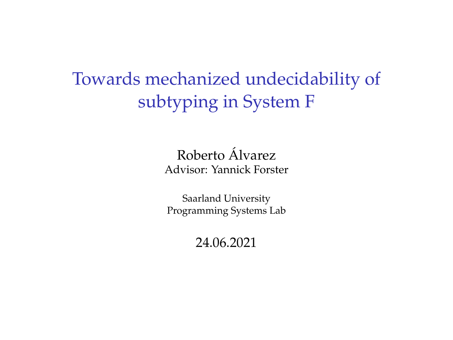Towards mechanized undecidability of subtyping in System F

> Roberto Alvarez ´ Advisor: Yannick Forster

Saarland University Programming Systems Lab

24.06.2021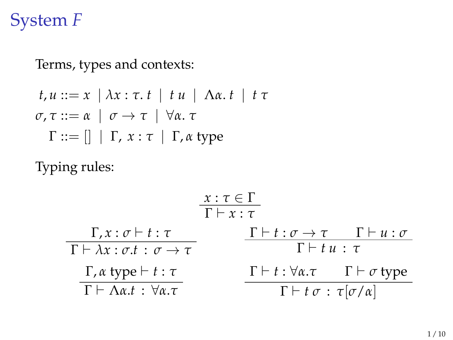## System *F*

Terms, types and contexts:

$$
t, u ::= x \mid \lambda x : \tau. t \mid t u \mid \Lambda \alpha. t \mid t \tau
$$
  

$$
\sigma, \tau ::= \alpha \mid \sigma \rightarrow \tau \mid \forall \alpha. \tau
$$
  

$$
\Gamma ::= [] \mid \Gamma, x : \tau \mid \Gamma, \alpha \text{ type}
$$

Typing rules:

$$
\frac{x:\tau \in \Gamma}{\Gamma \vdash x:\tau}
$$
\n
$$
\frac{\Gamma, x:\sigma \vdash t:\tau}{\Gamma \vdash \lambda x:\sigma.t:\sigma \rightarrow \tau}
$$
\n
$$
\frac{\Gamma \vdash t:\sigma \rightarrow \tau \quad \Gamma \vdash u:\sigma}{\Gamma \vdash t u:\tau}
$$
\n
$$
\frac{\Gamma, \alpha \text{ type} \vdash t:\tau}{\Gamma \vdash \Lambda \alpha.t:\forall \alpha.\tau}
$$
\n
$$
\frac{\Gamma \vdash t:\forall \alpha.\tau \quad \Gamma \vdash \sigma \text{ type}}{\Gamma \vdash t \sigma:\tau[\sigma/\alpha]}
$$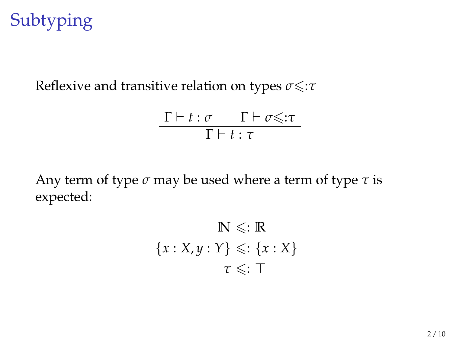## Subtyping

Reflexive and transitive relation on types *σ* $\leq$ :*τ* 

$$
\frac{\Gamma\vdash t:\sigma\qquad \Gamma\vdash \sigma{\leqslant}:\tau}{\Gamma\vdash t:\tau}
$$

Any term of type *σ* may be used where a term of type *τ* is expected:

$$
\mathbb{N} \leq \mathbb{R}
$$
  

$$
\{x : X, y : Y\} \leq \mathbb{N} \{x : X\}
$$
  

$$
\tau \leq \mathbb{N}
$$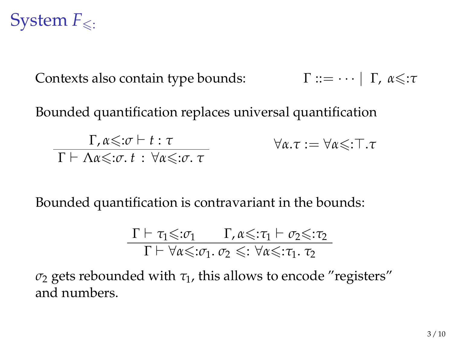## System  $F_{\leq}$ .

Contexts also contain type bounds: Γ ::= · ··| Γ, α ≤: *τ* 

Bounded quantification replaces universal quantification

Γ,  $\alpha \leq : \sigma \vdash t : \tau$  $\overline{\Gamma \vdash \Lambda \alpha \leq \sigma \cdot t : \forall \alpha \leq \sigma \cdot \tau}$  $∀α.τ := ∀α≤:τ.τ$ 

Bounded quantification is contravariant in the bounds:

$$
\frac{\Gamma \vdash \tau_1{\leqslant}:\!\sigma_1\qquad \Gamma,\alpha{\leqslant}:\!\tau_1\vdash \sigma_2{\leqslant}:\!\tau_2}{\Gamma \vdash \forall \alpha{\leqslant}:\!\sigma_1.\ \sigma_2 {\,\leqslant}:\forall \alpha{\leqslant}:\!\tau_1.\ \tau_2}
$$

 $\sigma_2$  gets rebounded with  $\tau_1$ , this allows to encode "registers" and numbers.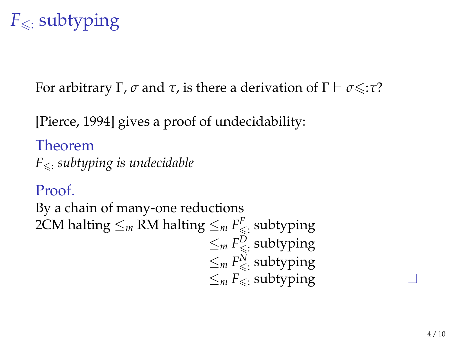## $F_{\leq}$ : subtyping

For arbitrary Γ,  $\sigma$  and  $\tau$ , is there a derivation of  $\Gamma \vdash \sigma \leq \tau$ ?

[\[Pierce, 1994\]](#page-11-0) gives a proof of undecidability:

Theorem  $F_{\leq t}$  *subtyping is undecidable* 

### Proof.

By a chain of many-one reductions 2CM halting  $\le_m$  RM halting  $\le_m F_{\leq}^\textup{F}$  subtyping  $\leq_m F^D_{\leq \colon}$  subtyping  $\leq_m F_{\leq}^N$  subtyping  $\leq_m F_{\leq}$  subtyping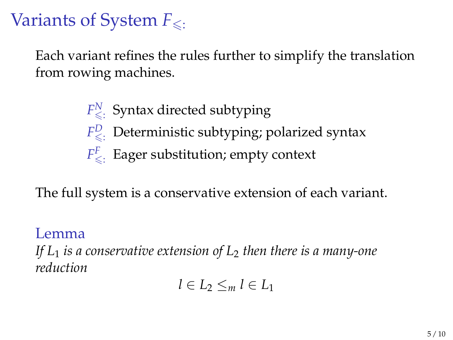## Variants of System  $F_{\leq}$ .

Each variant refines the rules further to simplify the translation from rowing machines.

> $F_{\leqslant i}^N$  Syntax directed subtyping  $F_{\leqslant}^D$ . Deterministic subtyping; polarized syntax  $F^F_{\leqslant}$ Eager substitution; empty context

The full system is a conservative extension of each variant.

#### Lemma

*If L*<sup>1</sup> *is a conservative extension of L*<sup>2</sup> *then there is a many-one reduction*

$$
l\in L_2\leq_m l\in L_1
$$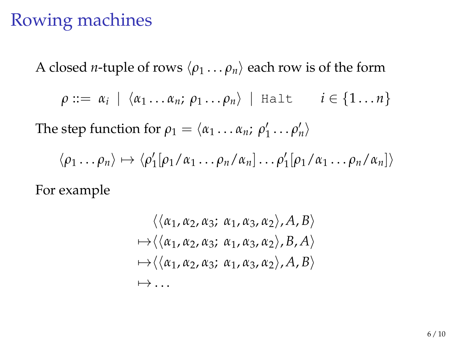## Rowing machines

A closed *n*-tuple of rows  $\langle \rho_1 \dots \rho_n \rangle$  each row is of the form

$$
\rho ::= \alpha_i \mid \langle \alpha_1 \ldots \alpha_n; \rho_1 \ldots \rho_n \rangle \mid \text{Halt} \qquad i \in \{1 \ldots n\}
$$

The step function for  $\rho_1 = \langle \alpha_1 \dots \alpha_n; \rho'_1 \dots \rho'_n \rangle$ 

$$
\langle \rho_1 \dots \rho_n \rangle \mapsto \langle \rho'_1[\rho_1/\alpha_1 \dots \rho_n/\alpha_n] \dots \rho'_1[\rho_1/\alpha_1 \dots \rho_n/\alpha_n] \rangle
$$

For example

$$
\langle \langle \alpha_1, \alpha_2, \alpha_3; \alpha_1, \alpha_3, \alpha_2 \rangle, A, B \rangle
$$
  
\n
$$
\mapsto \langle \langle \alpha_1, \alpha_2, \alpha_3; \alpha_1, \alpha_3, \alpha_2 \rangle, B, A \rangle
$$
  
\n
$$
\mapsto \langle \langle \alpha_1, \alpha_2, \alpha_3; \alpha_1, \alpha_3, \alpha_2 \rangle, A, B \rangle
$$
  
\n
$$
\mapsto \dots
$$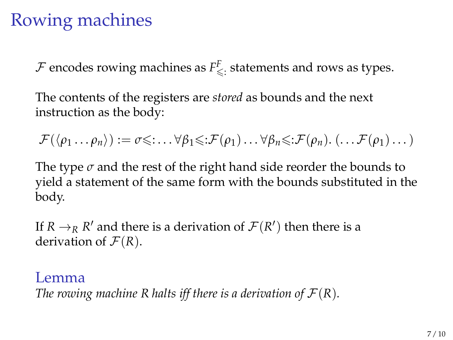## Rowing machines

 $\mathcal F$  encodes rowing machines as  $F_{\leq \mathcal I}^F$  statements and rows as types.

The contents of the registers are *stored* as bounds and the next instruction as the body:

 $\mathcal{F}(\langle \rho_1 \dots \rho_n \rangle) := \sigma \leq \dots \forall \beta_1 \leq \mathcal{F}(\rho_1) \dots \forall \beta_n \leq \mathcal{F}(\rho_n) \dots \mathcal{F}(\rho_1) \dots$ 

The type  $\sigma$  and the rest of the right hand side reorder the bounds to yield a statement of the same form with the bounds substituted in the body.

If  $R \to_R R'$  and there is a derivation of  $\mathcal{F}(R')$  then there is a derivation of  $\mathcal{F}(R)$ .

#### Lemma

*The rowing machine R halts iff there is a derivation of*  $\mathcal{F}(R)$ *.*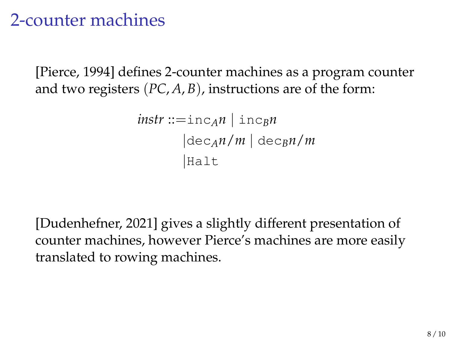### 2-counter machines

[\[Pierce, 1994\]](#page-11-0) defines 2-counter machines as a program counter and two registers (*PC*, *A*, *B*), instructions are of the form:

```
instr ::= \text{inc}_A n \mid \text{inc}_B n|\text{dec}_{A}n/m| |\text{dec}_{B}n/m||Halt
```
[\[Dudenhefner, 2021\]](#page-11-1) gives a slightly different presentation of counter machines, however Pierce's machines are more easily translated to rowing machines.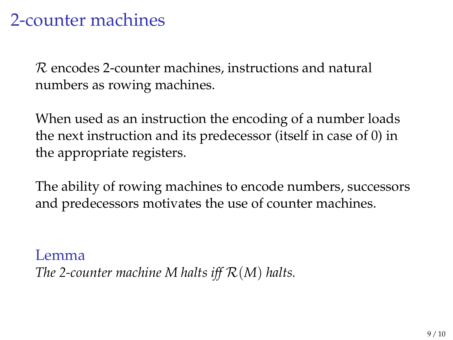### 2-counter machines

R encodes 2-counter machines, instructions and natural numbers as rowing machines.

When used as an instruction the encoding of a number loads the next instruction and its predecessor (itself in case of 0) in the appropriate registers.

The ability of rowing machines to encode numbers, successors and predecessors motivates the use of counter machines.

Lemma *The 2-counter machine M halts iff* R(*M*) *halts.*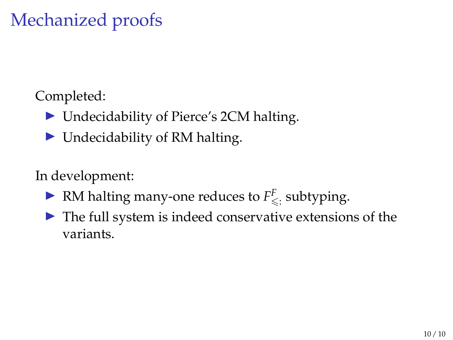## Mechanized proofs

Completed:

- Undecidability of Pierce's 2CM halting.
- $\triangleright$  Undecidability of RM halting.

In development:

- ▶ RM halting many-one reduces to  $F^F_{\leq \cdot}$  subtyping.
- $\blacktriangleright$  The full system is indeed conservative extensions of the variants.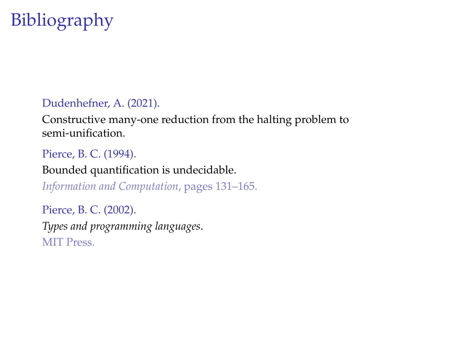## Bibliography

#### <span id="page-11-1"></span>Dudenhefner, A. (2021).

Constructive many-one reduction from the halting problem to semi-unification.

#### <span id="page-11-0"></span>Pierce, B. C. (1994).

Bounded quantification is undecidable.

*Information and Computation*, pages 131–165.

Pierce, B. C. (2002). *Types and programming languages*. MIT Press.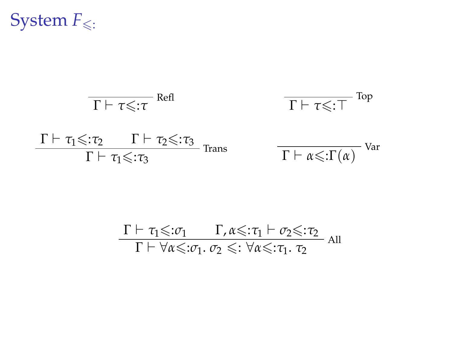System  $F_{\leq 0}$ :

$$
\frac{\Gamma \vdash \tau \leq \tau \quad \text{Refl}}{\Gamma \vdash \tau_1 \leq \tau_2 \quad \Gamma \vdash \tau_2 \leq \tau_3} \quad \frac{\Gamma \vdash \tau \leq \tau}{\Gamma \vdash \tau_1 \leq \tau_3} \quad \frac{\Gamma \vdash \tau_2 \leq \tau_3}{\Gamma \vdash \alpha \leq \tau(\alpha)} \quad \text{Var}
$$

$$
\frac{\Gamma \vdash \tau_1{\leqslant}:\!\sigma_1\qquad \Gamma,\alpha{\leqslant}:\!\tau_1 \vdash \sigma_2{\leqslant}:\!\tau_2}{\Gamma \vdash \forall \alpha{\leqslant}:\!\sigma_1.\ \sigma_2 {\,\leqslant\,}:\forall \alpha{\leqslant}:\!\tau_1.\ \tau_2} \text{ all }
$$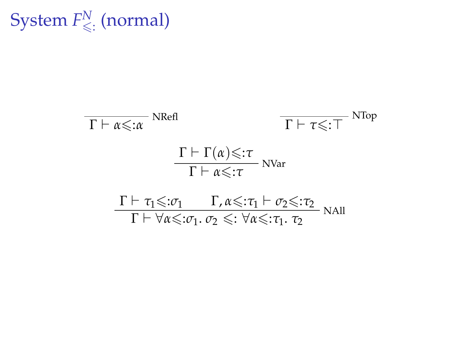$\mathsf{System}\, F^N_{\leqslant:}\,(\text{normal})$ 

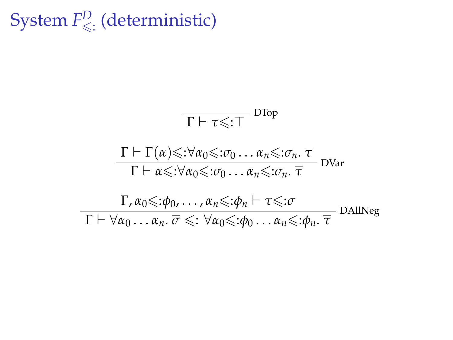# System  $F^D_{\leqslant}$  (deterministic)

$$
\frac{\Gamma \vdash \tau \leq \tau}{\Gamma \vdash \tau \leq \tau} \text{ DTop}
$$
\n
$$
\frac{\Gamma \vdash \Gamma(\alpha) \leq \forall \alpha_0 \leq \tau \sigma_0 \dots \alpha_n \leq \tau \sigma_n \cdot \overline{\tau}}{\Gamma \vdash \alpha \leq \forall \alpha_0 \leq \tau \sigma_0 \dots \alpha_n \leq \tau \sigma_n \cdot \overline{\tau}} \text{ DVar}
$$
\n
$$
\frac{\Gamma, \alpha_0 \leq \tau \sigma_0 \dots \sigma_n \leq \tau \sigma_n \vdash \tau \leq \tau \sigma}{\Gamma \vdash \forall \alpha_0 \dots \alpha_n \cdot \overline{\sigma} \leq \tau \forall \alpha_0 \leq \tau \sigma_0 \dots \alpha_n \leq \tau \sigma_n \cdot \overline{\tau}} \text{ DAllNeg}
$$